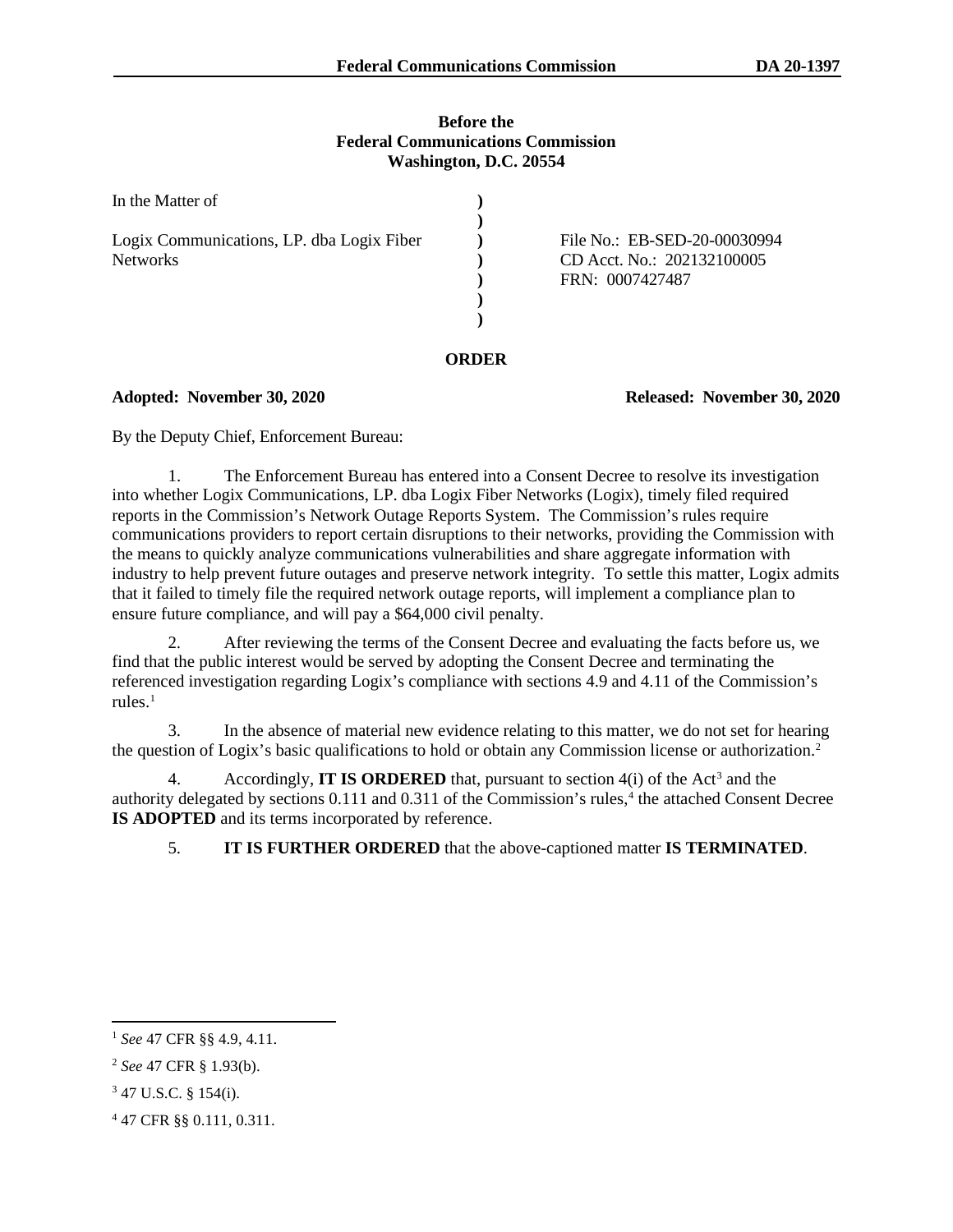### **Before the Federal Communications Commission Washington, D.C. 20554**

| In the Matter of                                             |                                                                               |
|--------------------------------------------------------------|-------------------------------------------------------------------------------|
| Logix Communications, LP. dba Logix Fiber<br><b>Networks</b> | File No.: EB-SED-20-00030994<br>CD Acct. No.: 202132100005<br>FRN: 0007427487 |

## **ORDER**

**Adopted: November 30, 2020 Released: November 30, 2020**

By the Deputy Chief, Enforcement Bureau:

1. The Enforcement Bureau has entered into a Consent Decree to resolve its investigation into whether Logix Communications, LP. dba Logix Fiber Networks (Logix), timely filed required reports in the Commission's Network Outage Reports System. The Commission's rules require communications providers to report certain disruptions to their networks, providing the Commission with the means to quickly analyze communications vulnerabilities and share aggregate information with industry to help prevent future outages and preserve network integrity. To settle this matter, Logix admits that it failed to timely file the required network outage reports, will implement a compliance plan to ensure future compliance, and will pay a \$64,000 civil penalty.

2. After reviewing the terms of the Consent Decree and evaluating the facts before us, we find that the public interest would be served by adopting the Consent Decree and terminating the referenced investigation regarding Logix's compliance with sections 4.9 and 4.11 of the Commission's rules. [1](#page-0-0)

3. In the absence of material new evidence relating to this matter, we do not set for hearing the question of Logix's basic qualifications to hold or obtain any Commission license or authorization.[2](#page-0-1)

4. Accordingly, **IT IS ORDERED** that, pursuant to section 4(i) of the Act<sup>[3](#page-0-2)</sup> and the authority delegated by sections 0.111 and 0.311 of the Commission's rules,<sup>[4](#page-0-3)</sup> the attached Consent Decree **IS ADOPTED** and its terms incorporated by reference.

5. **IT IS FURTHER ORDERED** that the above-captioned matter **IS TERMINATED**.

<span id="page-0-0"></span><sup>1</sup> *See* 47 CFR §§ 4.9, 4.11.

<span id="page-0-1"></span><sup>2</sup> *See* 47 CFR § 1.93(b).

<span id="page-0-2"></span><sup>3</sup> 47 U.S.C. § 154(i).

<span id="page-0-3"></span><sup>4</sup> 47 CFR §§ 0.111, 0.311.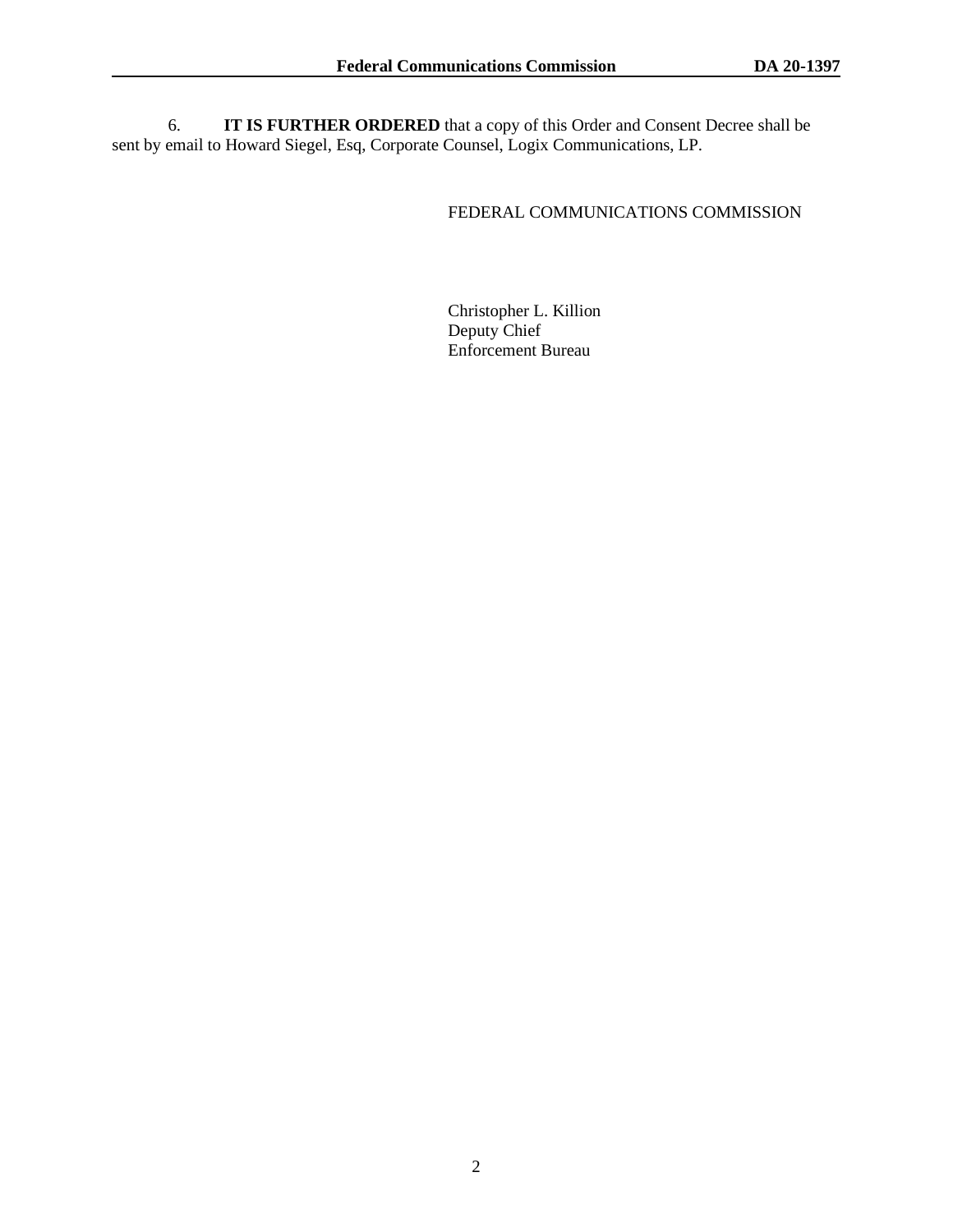6. **IT IS FURTHER ORDERED** that a copy of this Order and Consent Decree shall be sent by email to Howard Siegel, Esq, Corporate Counsel, Logix Communications, LP.

# FEDERAL COMMUNICATIONS COMMISSION

Christopher L. Killion Deputy Chief Enforcement Bureau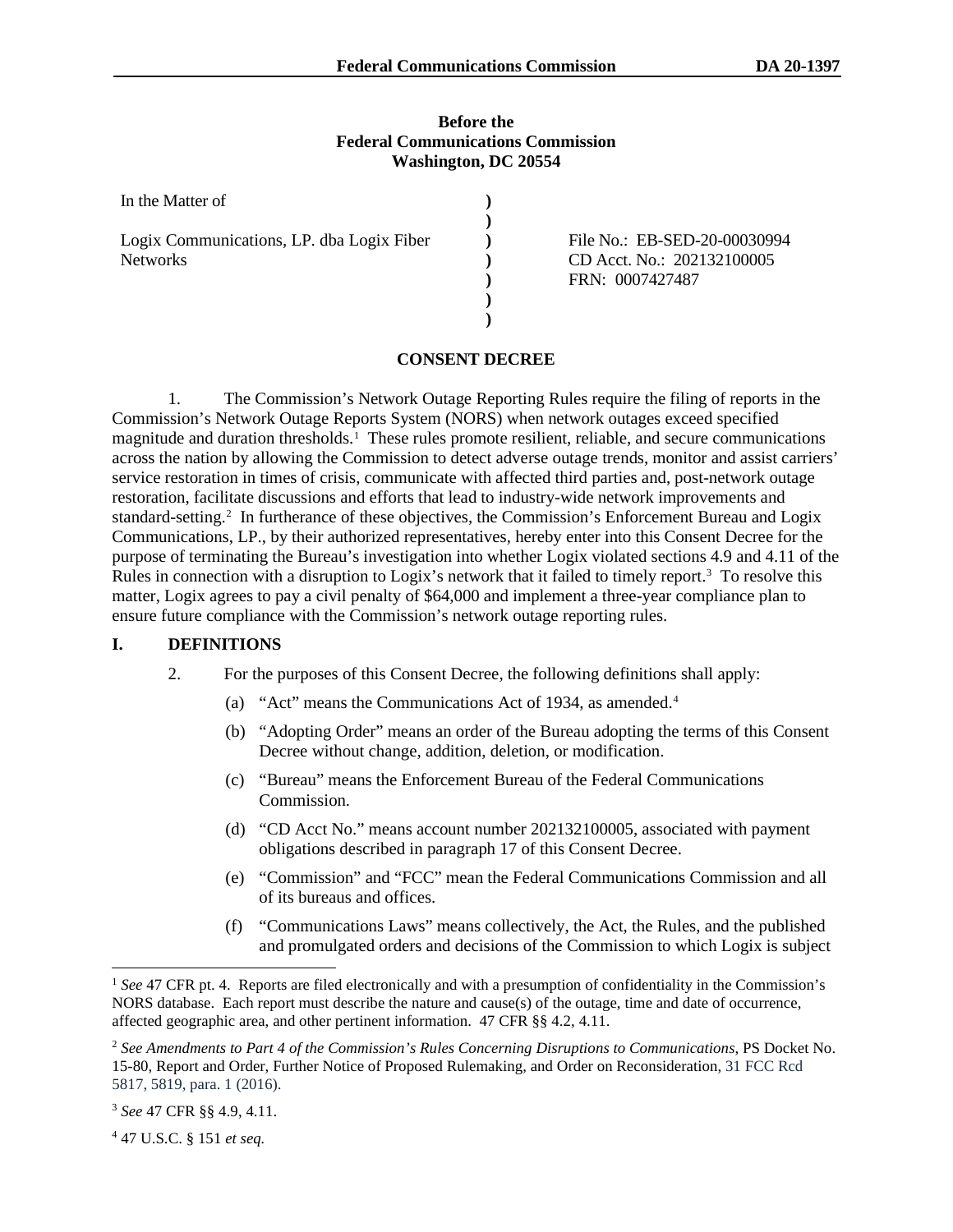#### **Before the Federal Communications Commission Washington, DC 20554**

| In the Matter of                          |  |
|-------------------------------------------|--|
| Logix Communications, LP. dba Logix Fiber |  |
| <b>Networks</b>                           |  |
|                                           |  |
|                                           |  |
|                                           |  |

File No.: EB-SED-20-00030994 CD Acct. No.: 202132100005 FRN: 0007427487

## **CONSENT DECREE**

1. The Commission's Network Outage Reporting Rules require the filing of reports in the Commission's Network Outage Reports System (NORS) when network outages exceed specified magnitude and duration thresholds.<sup>[1](#page-2-0)</sup> These rules promote resilient, reliable, and secure communications across the nation by allowing the Commission to detect adverse outage trends, monitor and assist carriers' service restoration in times of crisis, communicate with affected third parties and, post-network outage restoration, facilitate discussions and efforts that lead to industry-wide network improvements and standard-setting.<sup>[2](#page-2-1)</sup> In furtherance of these objectives, the Commission's Enforcement Bureau and Logix Communications, LP., by their authorized representatives, hereby enter into this Consent Decree for the purpose of terminating the Bureau's investigation into whether Logix violated sections 4.9 and 4.11 of the Rules in connection with a disruption to Logix's network that it failed to timely report.<sup>[3](#page-2-2)</sup> To resolve this matter, Logix agrees to pay a civil penalty of \$64,000 and implement a three-year compliance plan to ensure future compliance with the Commission's network outage reporting rules.

#### **I. DEFINITIONS**

- 2. For the purposes of this Consent Decree, the following definitions shall apply:
	- (a) "Act" means the Communications Act of 193[4](#page-2-3), as amended.<sup>4</sup>
	- (b) "Adopting Order" means an order of the Bureau adopting the terms of this Consent Decree without change, addition, deletion, or modification.
	- (c) "Bureau" means the Enforcement Bureau of the Federal Communications Commission.
	- (d) "CD Acct No." means account number 202132100005, associated with payment obligations described in paragraph [17](#page-7-0) of this Consent Decree.
	- (e) "Commission" and "FCC" mean the Federal Communications Commission and all of its bureaus and offices.
	- (f) "Communications Laws" means collectively, the Act, the Rules, and the published and promulgated orders and decisions of the Commission to which Logix is subject

<span id="page-2-3"></span><sup>4</sup> 47 U.S.C. § 151 *et seq.*

<span id="page-2-0"></span><sup>&</sup>lt;sup>1</sup> See 47 CFR pt. 4. Reports are filed electronically and with a presumption of confidentiality in the Commission's NORS database. Each report must describe the nature and cause(s) of the outage, time and date of occurrence, affected geographic area, and other pertinent information. 47 CFR §§ 4.2, 4.11.

<span id="page-2-1"></span><sup>2</sup> *See Amendments to Part 4 of the Commission's Rules Concerning Disruptions to Communications*, PS Docket No. 15-80, Report and Order, Further Notice of Proposed Rulemaking, and Order on Reconsideration, 31 FCC Rcd 5817, 5819, para. 1 (2016).

<span id="page-2-2"></span><sup>3</sup> *See* 47 CFR §§ 4.9, 4.11.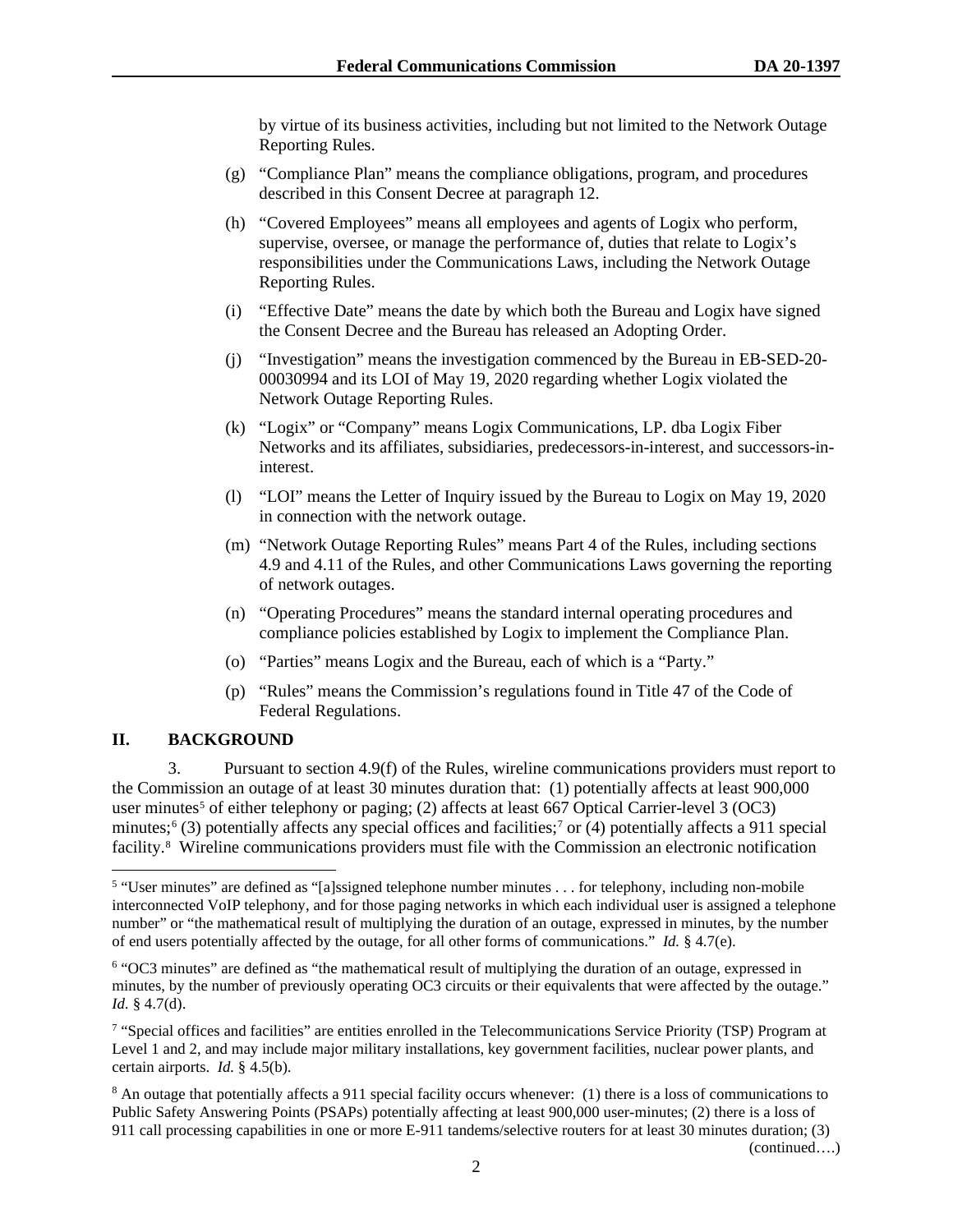by virtue of its business activities, including but not limited to the Network Outage Reporting Rules.

- (g) "Compliance Plan" means the compliance obligations, program, and procedures described in this Consent Decree at paragraph [12.](#page-5-0)
- (h) "Covered Employees" means all employees and agents of Logix who perform, supervise, oversee, or manage the performance of, duties that relate to Logix's responsibilities under the Communications Laws, including the Network Outage Reporting Rules.
- (i) "Effective Date" means the date by which both the Bureau and Logix have signed the Consent Decree and the Bureau has released an Adopting Order.
- (j) "Investigation" means the investigation commenced by the Bureau in EB-SED-20- 00030994 and its LOI of May 19, 2020 regarding whether Logix violated the Network Outage Reporting Rules.
- (k) "Logix" or "Company" means Logix Communications, LP. dba Logix Fiber Networks and its affiliates, subsidiaries, predecessors-in-interest, and successors-ininterest.
- (l) "LOI" means the Letter of Inquiry issued by the Bureau to Logix on May 19, 2020 in connection with the network outage.
- (m) "Network Outage Reporting Rules" means Part 4 of the Rules, including sections 4.9 and 4.11 of the Rules, and other Communications Laws governing the reporting of network outages.
- (n) "Operating Procedures" means the standard internal operating procedures and compliance policies established by Logix to implement the Compliance Plan.
- (o) "Parties" means Logix and the Bureau, each of which is a "Party."
- (p) "Rules" means the Commission's regulations found in Title 47 of the Code of Federal Regulations.

## **II. BACKGROUND**

3. Pursuant to section 4.9(f) of the Rules, wireline communications providers must report to the Commission an outage of at least 30 minutes duration that: (1) potentially affects at least 900,000 user minutes<sup>5</sup> of either telephony or paging; (2) affects at least 667 Optical Carrier-level 3 (OC3) minutes;<sup>[6](#page-3-1)</sup> (3) potentially affects any special offices and facilities;<sup>7</sup> or (4) potentially affects a 911 special facility[.8](#page-3-3) Wireline communications providers must file with the Commission an electronic notification

(continued….)

<span id="page-3-0"></span><sup>5</sup> "User minutes" are defined as "[a]ssigned telephone number minutes . . . for telephony, including non-mobile interconnected VoIP telephony, and for those paging networks in which each individual user is assigned a telephone number" or "the mathematical result of multiplying the duration of an outage, expressed in minutes, by the number of end users potentially affected by the outage, for all other forms of communications." *Id.* § 4.7(e).

<span id="page-3-1"></span><sup>6</sup> "OC3 minutes" are defined as "the mathematical result of multiplying the duration of an outage, expressed in minutes, by the number of previously operating OC3 circuits or their equivalents that were affected by the outage." *Id.* § 4.7(d).

<span id="page-3-2"></span><sup>7</sup> "Special offices and facilities" are entities enrolled in the Telecommunications Service Priority (TSP) Program at Level 1 and 2, and may include major military installations, key government facilities, nuclear power plants, and certain airports. *Id.* § 4.5(b).

<span id="page-3-3"></span><sup>&</sup>lt;sup>8</sup> An outage that potentially affects a 911 special facility occurs whenever: (1) there is a loss of communications to Public Safety Answering Points (PSAPs) potentially affecting at least 900,000 user-minutes; (2) there is a loss of 911 call processing capabilities in one or more E-911 tandems/selective routers for at least 30 minutes duration; (3)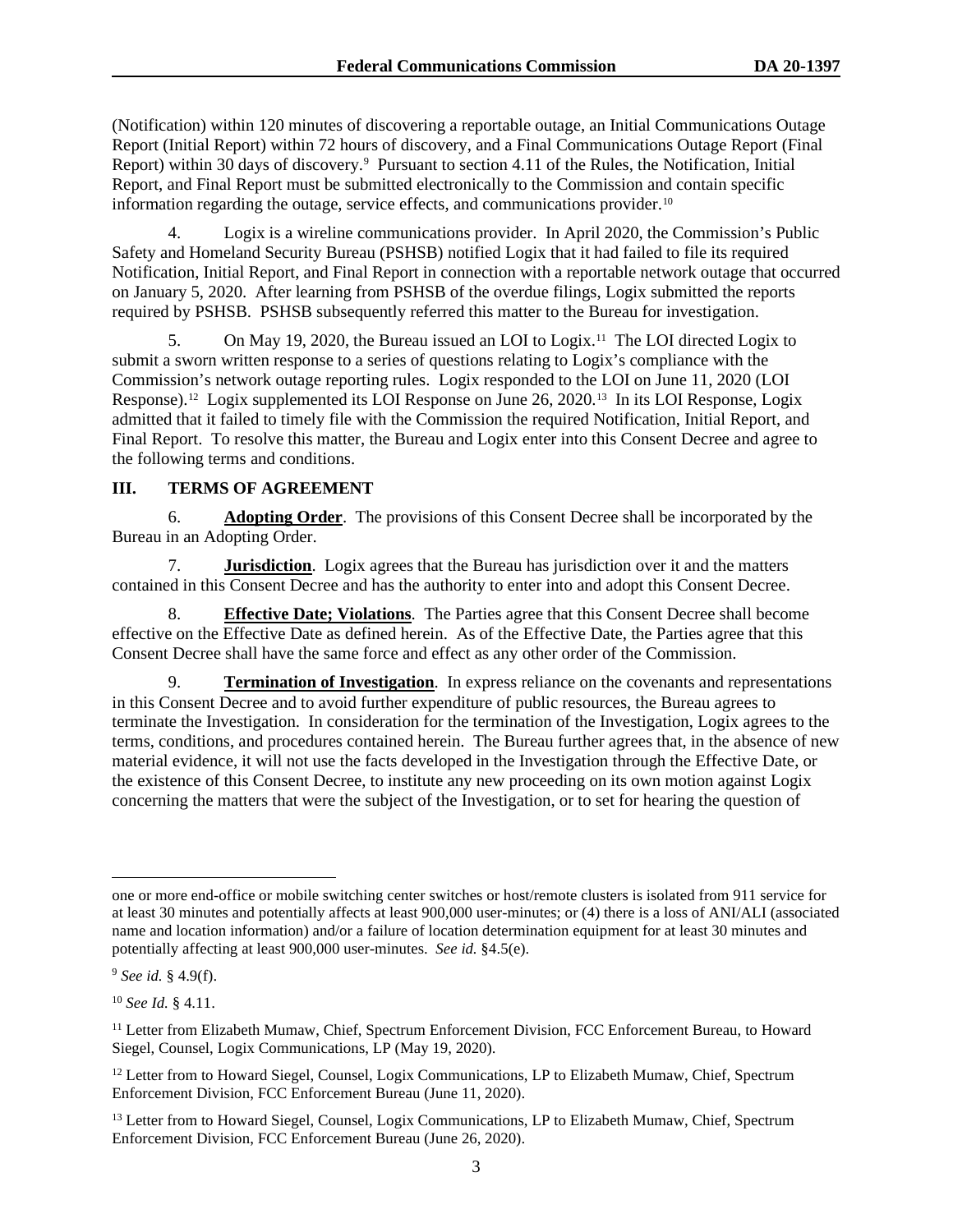(Notification) within 120 minutes of discovering a reportable outage, an Initial Communications Outage Report (Initial Report) within 72 hours of discovery, and a Final Communications Outage Report (Final Report) within 30 days of discovery.<sup>[9](#page-4-0)</sup> Pursuant to section 4.11 of the Rules, the Notification, Initial Report, and Final Report must be submitted electronically to the Commission and contain specific information regarding the outage, service effects, and communications provider.<sup>[10](#page-4-1)</sup>

4. Logix is a wireline communications provider. In April 2020, the Commission's Public Safety and Homeland Security Bureau (PSHSB) notified Logix that it had failed to file its required Notification, Initial Report, and Final Report in connection with a reportable network outage that occurred on January 5, 2020. After learning from PSHSB of the overdue filings, Logix submitted the reports required by PSHSB. PSHSB subsequently referred this matter to the Bureau for investigation.

5. On May 19, 2020, the Bureau issued an LOI to Logix.[11](#page-4-2) The LOI directed Logix to submit a sworn written response to a series of questions relating to Logix's compliance with the Commission's network outage reporting rules. Logix responded to the LOI on June 11, 2020 (LOI Response).<sup>12</sup> Logix supplemented its LOI Response on June 26, 2020.<sup>[13](#page-4-4)</sup> In its LOI Response, Logix admitted that it failed to timely file with the Commission the required Notification, Initial Report, and Final Report. To resolve this matter, the Bureau and Logix enter into this Consent Decree and agree to the following terms and conditions.

# **III. TERMS OF AGREEMENT**

6. **Adopting Order**. The provisions of this Consent Decree shall be incorporated by the Bureau in an Adopting Order.

7. **Jurisdiction**. Logix agrees that the Bureau has jurisdiction over it and the matters contained in this Consent Decree and has the authority to enter into and adopt this Consent Decree.

**Effective Date; Violations**. The Parties agree that this Consent Decree shall become effective on the Effective Date as defined herein. As of the Effective Date, the Parties agree that this Consent Decree shall have the same force and effect as any other order of the Commission.

<span id="page-4-5"></span>9. **Termination of Investigation**. In express reliance on the covenants and representations in this Consent Decree and to avoid further expenditure of public resources, the Bureau agrees to terminate the Investigation. In consideration for the termination of the Investigation, Logix agrees to the terms, conditions, and procedures contained herein. The Bureau further agrees that, in the absence of new material evidence, it will not use the facts developed in the Investigation through the Effective Date, or the existence of this Consent Decree, to institute any new proceeding on its own motion against Logix concerning the matters that were the subject of the Investigation, or to set for hearing the question of

one or more end-office or mobile switching center switches or host/remote clusters is isolated from 911 service for at least 30 minutes and potentially affects at least 900,000 user-minutes; or (4) there is a loss of ANI/ALI (associated name and location information) and/or a failure of location determination equipment for at least 30 minutes and potentially affecting at least 900,000 user-minutes. *See id.* §4.5(e).

<span id="page-4-0"></span><sup>9</sup> *See id.* § 4.9(f).

<span id="page-4-1"></span><sup>10</sup> *See Id.* § 4.11.

<span id="page-4-2"></span><sup>&</sup>lt;sup>11</sup> Letter from Elizabeth Mumaw, Chief, Spectrum Enforcement Division, FCC Enforcement Bureau, to Howard Siegel, Counsel, Logix Communications, LP (May 19, 2020).

<span id="page-4-3"></span><sup>&</sup>lt;sup>12</sup> Letter from to Howard Siegel, Counsel, Logix Communications, LP to Elizabeth Mumaw, Chief, Spectrum Enforcement Division, FCC Enforcement Bureau (June 11, 2020).

<span id="page-4-4"></span><sup>&</sup>lt;sup>13</sup> Letter from to Howard Siegel, Counsel, Logix Communications, LP to Elizabeth Mumaw, Chief, Spectrum Enforcement Division, FCC Enforcement Bureau (June 26, 2020).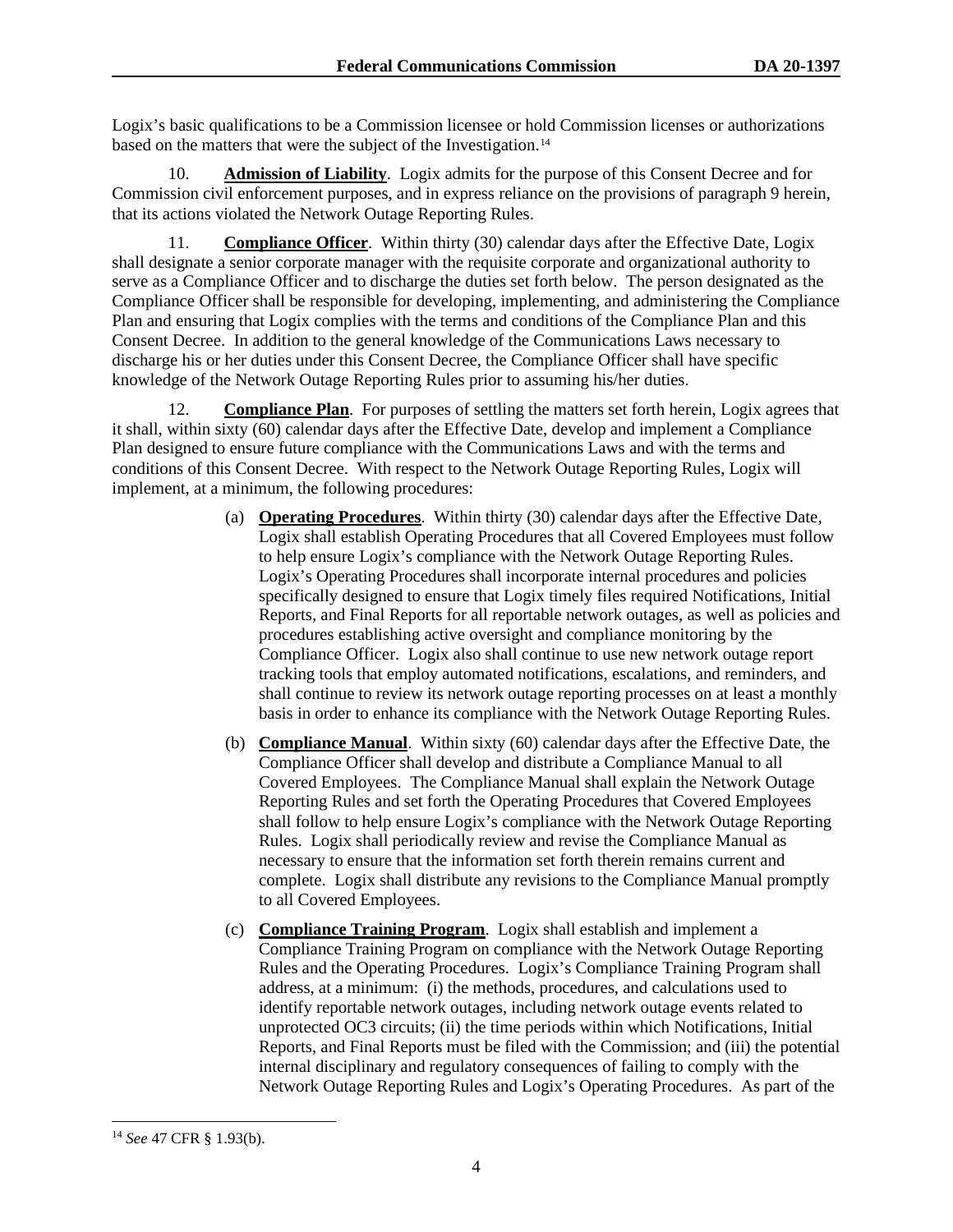Logix's basic qualifications to be a Commission licensee or hold Commission licenses or authorizations based on the matters that were the subject of the Investigation.<sup>[14](#page-5-1)</sup>

10. **Admission of Liability**. Logix admits for the purpose of this Consent Decree and for Commission civil enforcement purposes, and in express reliance on the provisions of paragraph [9](#page-4-5) herein, that its actions violated the Network Outage Reporting Rules.

<span id="page-5-2"></span>11. **Compliance Officer**. Within thirty (30) calendar days after the Effective Date, Logix shall designate a senior corporate manager with the requisite corporate and organizational authority to serve as a Compliance Officer and to discharge the duties set forth below. The person designated as the Compliance Officer shall be responsible for developing, implementing, and administering the Compliance Plan and ensuring that Logix complies with the terms and conditions of the Compliance Plan and this Consent Decree. In addition to the general knowledge of the Communications Laws necessary to discharge his or her duties under this Consent Decree, the Compliance Officer shall have specific knowledge of the Network Outage Reporting Rules prior to assuming his/her duties.

<span id="page-5-0"></span>12. **Compliance Plan**. For purposes of settling the matters set forth herein, Logix agrees that it shall, within sixty (60) calendar days after the Effective Date, develop and implement a Compliance Plan designed to ensure future compliance with the Communications Laws and with the terms and conditions of this Consent Decree. With respect to the Network Outage Reporting Rules, Logix will implement, at a minimum, the following procedures:

- (a) **Operating Procedures**. Within thirty (30) calendar days after the Effective Date, Logix shall establish Operating Procedures that all Covered Employees must follow to help ensure Logix's compliance with the Network Outage Reporting Rules. Logix's Operating Procedures shall incorporate internal procedures and policies specifically designed to ensure that Logix timely files required Notifications, Initial Reports, and Final Reports for all reportable network outages, as well as policies and procedures establishing active oversight and compliance monitoring by the Compliance Officer. Logix also shall continue to use new network outage report tracking tools that employ automated notifications, escalations, and reminders, and shall continue to review its network outage reporting processes on at least a monthly basis in order to enhance its compliance with the Network Outage Reporting Rules.
- (b) **Compliance Manual**. Within sixty (60) calendar days after the Effective Date, the Compliance Officer shall develop and distribute a Compliance Manual to all Covered Employees. The Compliance Manual shall explain the Network Outage Reporting Rules and set forth the Operating Procedures that Covered Employees shall follow to help ensure Logix's compliance with the Network Outage Reporting Rules. Logix shall periodically review and revise the Compliance Manual as necessary to ensure that the information set forth therein remains current and complete. Logix shall distribute any revisions to the Compliance Manual promptly to all Covered Employees.
- (c) **Compliance Training Program**. Logix shall establish and implement a Compliance Training Program on compliance with the Network Outage Reporting Rules and the Operating Procedures. Logix's Compliance Training Program shall address, at a minimum: (i) the methods, procedures, and calculations used to identify reportable network outages, including network outage events related to unprotected OC3 circuits; (ii) the time periods within which Notifications, Initial Reports, and Final Reports must be filed with the Commission; and (iii) the potential internal disciplinary and regulatory consequences of failing to comply with the Network Outage Reporting Rules and Logix's Operating Procedures. As part of the

<span id="page-5-1"></span><sup>14</sup> *See* 47 CFR § 1.93(b).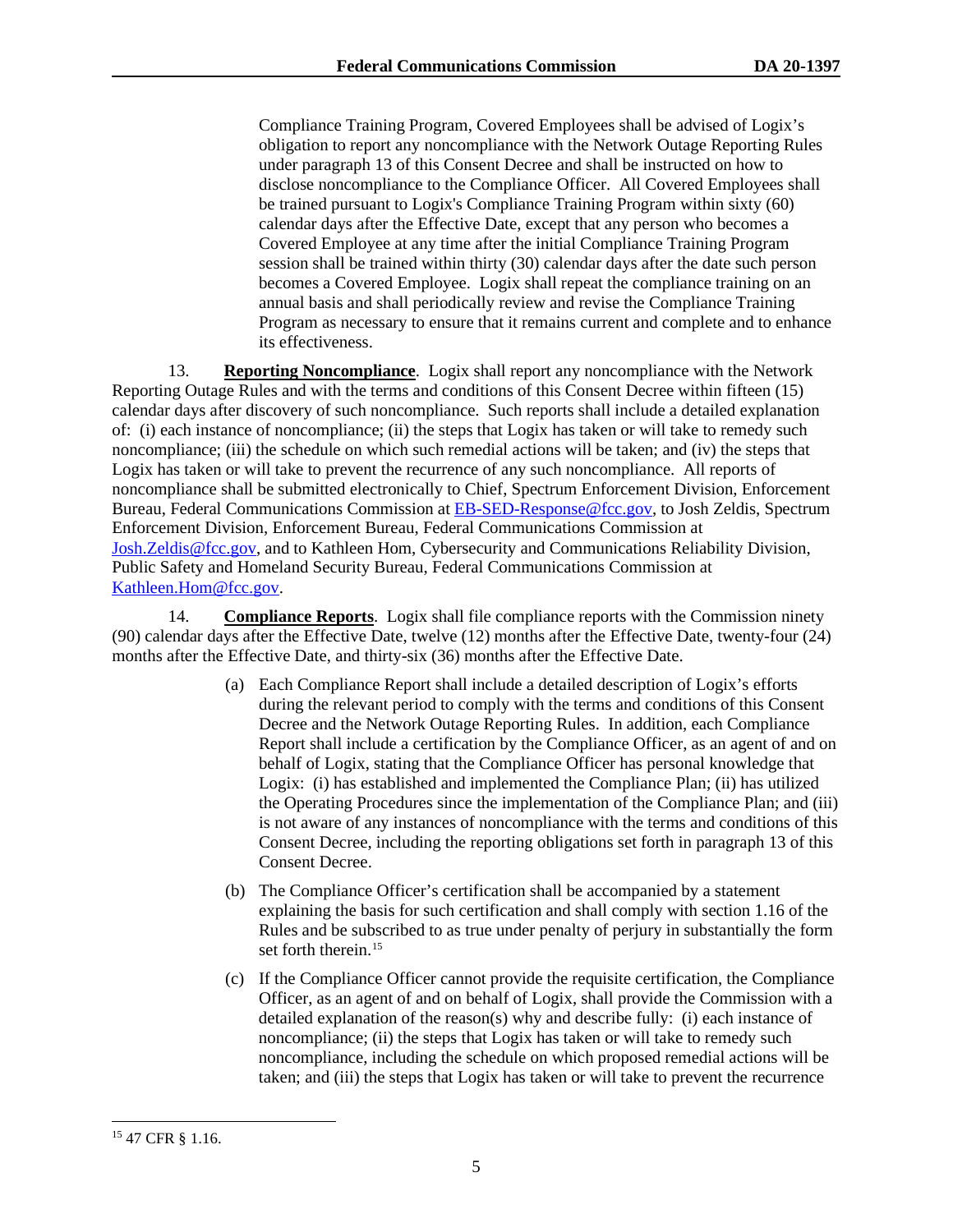Compliance Training Program, Covered Employees shall be advised of Logix's obligation to report any noncompliance with the Network Outage Reporting Rules under paragraph [13](#page-6-0) of this Consent Decree and shall be instructed on how to disclose noncompliance to the Compliance Officer. All Covered Employees shall be trained pursuant to Logix's Compliance Training Program within sixty (60) calendar days after the Effective Date, except that any person who becomes a Covered Employee at any time after the initial Compliance Training Program session shall be trained within thirty (30) calendar days after the date such person becomes a Covered Employee. Logix shall repeat the compliance training on an annual basis and shall periodically review and revise the Compliance Training Program as necessary to ensure that it remains current and complete and to enhance its effectiveness.

<span id="page-6-0"></span>13. **Reporting Noncompliance**. Logix shall report any noncompliance with the Network Reporting Outage Rules and with the terms and conditions of this Consent Decree within fifteen (15) calendar days after discovery of such noncompliance. Such reports shall include a detailed explanation of: (i) each instance of noncompliance; (ii) the steps that Logix has taken or will take to remedy such noncompliance; (iii) the schedule on which such remedial actions will be taken; and (iv) the steps that Logix has taken or will take to prevent the recurrence of any such noncompliance. All reports of noncompliance shall be submitted electronically to Chief, Spectrum Enforcement Division, Enforcement Bureau, Federal Communications Commission at **EB-SED-Response@fcc.gov**, to Josh Zeldis, Spectrum Enforcement Division, Enforcement Bureau, Federal Communications Commission at [Josh.Zeldis@fcc.gov,](mailto:Josh.Zeldis@fcc.gov) and to Kathleen Hom, Cybersecurity and Communications Reliability Division, Public Safety and Homeland Security Bureau, Federal Communications Commission at [Kathleen.Hom@fcc.gov.](mailto:Kathleen.Hom@fcc.gov)

<span id="page-6-2"></span>14. **Compliance Reports**. Logix shall file compliance reports with the Commission ninety (90) calendar days after the Effective Date, twelve (12) months after the Effective Date, twenty-four (24) months after the Effective Date, and thirty-six (36) months after the Effective Date.

- (a) Each Compliance Report shall include a detailed description of Logix's efforts during the relevant period to comply with the terms and conditions of this Consent Decree and the Network Outage Reporting Rules. In addition, each Compliance Report shall include a certification by the Compliance Officer, as an agent of and on behalf of Logix, stating that the Compliance Officer has personal knowledge that Logix: (i) has established and implemented the Compliance Plan; (ii) has utilized the Operating Procedures since the implementation of the Compliance Plan; and (iii) is not aware of any instances of noncompliance with the terms and conditions of this Consent Decree, including the reporting obligations set forth in paragraph [13](#page-6-0) of this Consent Decree.
- (b) The Compliance Officer's certification shall be accompanied by a statement explaining the basis for such certification and shall comply with section 1.16 of the Rules and be subscribed to as true under penalty of perjury in substantially the form set forth therein.<sup>[15](#page-6-1)</sup>
- (c) If the Compliance Officer cannot provide the requisite certification, the Compliance Officer, as an agent of and on behalf of Logix, shall provide the Commission with a detailed explanation of the reason(s) why and describe fully: (i) each instance of noncompliance; (ii) the steps that Logix has taken or will take to remedy such noncompliance, including the schedule on which proposed remedial actions will be taken; and (iii) the steps that Logix has taken or will take to prevent the recurrence

<span id="page-6-1"></span><sup>&</sup>lt;sup>15</sup> 47 CFR § 1.16.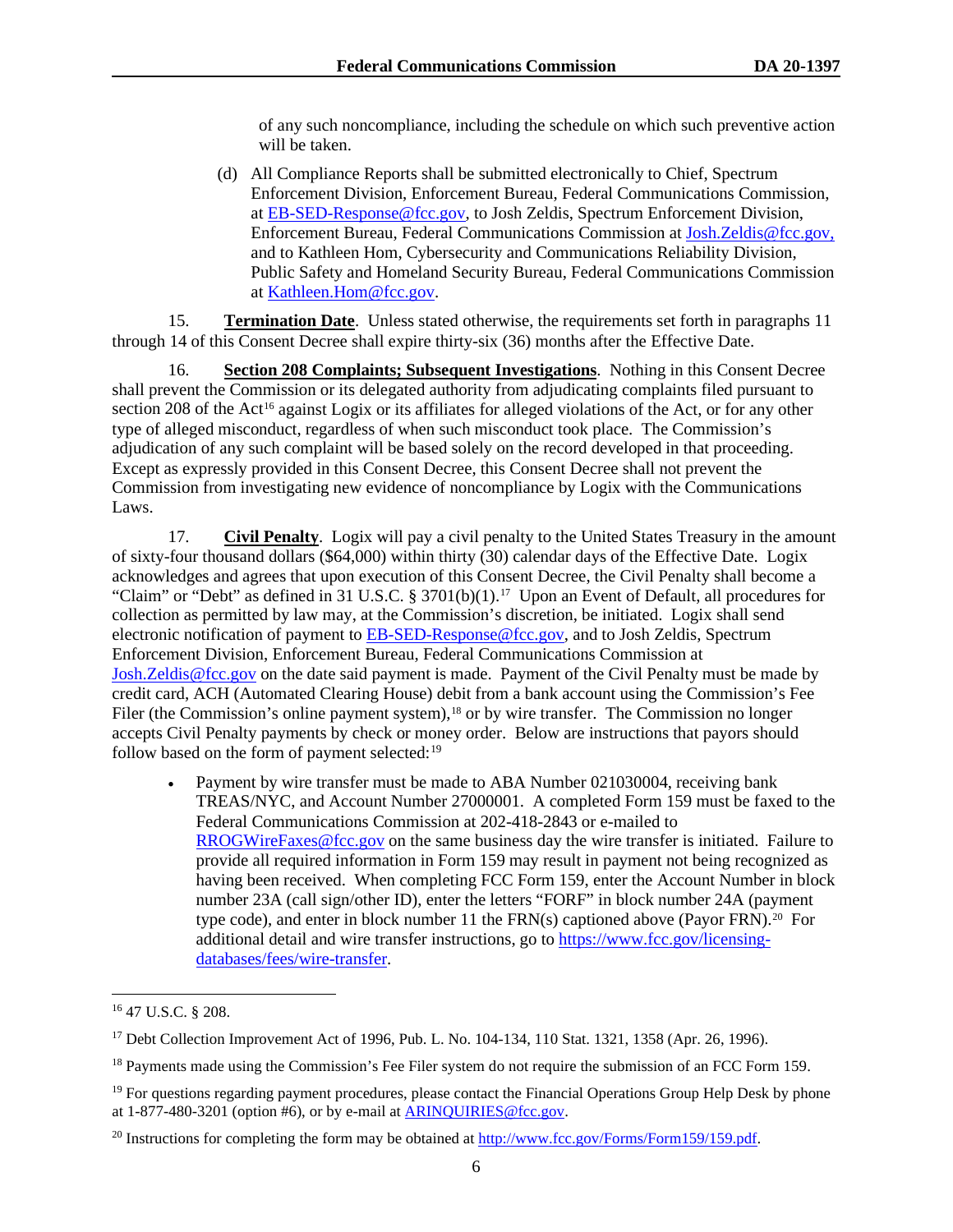of any such noncompliance, including the schedule on which such preventive action will be taken.

(d) All Compliance Reports shall be submitted electronically to Chief, Spectrum Enforcement Division, Enforcement Bureau, Federal Communications Commission, at [EB-SED-Response@fcc.gov,](mailto:EB-SED-Response@fcc.gov) to Josh Zeldis, Spectrum Enforcement Division, Enforcement Bureau, Federal Communications Commission at [Josh.Zeldis@fcc.gov,](mailto:Josh.Zeldis@fcc.gov) and to Kathleen Hom, Cybersecurity and Communications Reliability Division, Public Safety and Homeland Security Bureau, Federal Communications Commission at [Kathleen.Hom@fcc.gov.](mailto:Kathleen.Hom@fcc.gov)

15. **Termination Date**. Unless stated otherwise, the requirements set forth in paragraphs [11](#page-5-2) through [14](#page-6-2) of this Consent Decree shall expire thirty-six (36) months after the Effective Date.

16. **Section 208 Complaints; Subsequent Investigations**. Nothing in this Consent Decree shall prevent the Commission or its delegated authority from adjudicating complaints filed pursuant to section 208 of the Act<sup>[16](#page-7-1)</sup> against Logix or its affiliates for alleged violations of the Act, or for any other type of alleged misconduct, regardless of when such misconduct took place. The Commission's adjudication of any such complaint will be based solely on the record developed in that proceeding. Except as expressly provided in this Consent Decree, this Consent Decree shall not prevent the Commission from investigating new evidence of noncompliance by Logix with the Communications Laws.

<span id="page-7-0"></span>17. **Civil Penalty**. Logix will pay a civil penalty to the United States Treasury in the amount of sixty-four thousand dollars (\$64,000) within thirty (30) calendar days of the Effective Date. Logix acknowledges and agrees that upon execution of this Consent Decree, the Civil Penalty shall become a "Claim" or "Debt" as defined in 31 U.S.C. § 3701(b)(1).<sup>[17](#page-7-2)</sup> Upon an Event of Default, all procedures for collection as permitted by law may, at the Commission's discretion, be initiated. Logix shall send electronic notification of payment to [EB-SED-Response@fcc.gov,](mailto:EB-SED-Response@fcc.gov) and to Josh Zeldis, Spectrum Enforcement Division, Enforcement Bureau, Federal Communications Commission at [Josh.Zeldis@fcc.gov](mailto:Josh.Zeldis@fcc.gov) on the date said payment is made. Payment of the Civil Penalty must be made by credit card, ACH (Automated Clearing House) debit from a bank account using the Commission's Fee Filer (the Commission's online payment system),<sup>[18](#page-7-3)</sup> or by wire transfer. The Commission no longer accepts Civil Penalty payments by check or money order. Below are instructions that payors should follow based on the form of payment selected: $19$ 

• Payment by wire transfer must be made to ABA Number 021030004, receiving bank TREAS/NYC, and Account Number 27000001. A completed Form 159 must be faxed to the Federal Communications Commission at 202-418-2843 or e-mailed to [RROGWireFaxes@fcc.gov](mailto:RROGWireFaxes@fcc.gov) on the same business day the wire transfer is initiated. Failure to provide all required information in Form 159 may result in payment not being recognized as having been received. When completing FCC Form 159, enter the Account Number in block number 23A (call sign/other ID), enter the letters "FORF" in block number 24A (payment type code), and enter in block number 11 the FRN(s) captioned above (Payor FRN).<sup>[20](#page-7-5)</sup> For additional detail and wire transfer instructions, go to [https://www.fcc.gov/licensing](https://www.fcc.gov/licensing-databases/fees/wire-transfer)[databases/fees/wire-transfer.](https://www.fcc.gov/licensing-databases/fees/wire-transfer)

<span id="page-7-1"></span><sup>16</sup> 47 U.S.C. § 208.

<span id="page-7-2"></span> $17$  Debt Collection Improvement Act of 1996, Pub. L. No. 104-134, 110 Stat. 1321, 1358 (Apr. 26, 1996).

<span id="page-7-3"></span><sup>&</sup>lt;sup>18</sup> Payments made using the Commission's Fee Filer system do not require the submission of an FCC Form 159.

<span id="page-7-4"></span><sup>&</sup>lt;sup>19</sup> For questions regarding payment procedures, please contact the Financial Operations Group Help Desk by phone at 1-877-480-3201 (option #6), or by e-mail at [ARINQUIRIES@fcc.gov.](mailto:ARINQUIRIES@fcc.gov)

<span id="page-7-5"></span><sup>&</sup>lt;sup>20</sup> Instructions for completing the form may be obtained at  $\frac{http://www.fcc.gov/Forms/Form159/159.pdf}{http://www.fcc.gov/Forms/Form159/159.pdf}$ .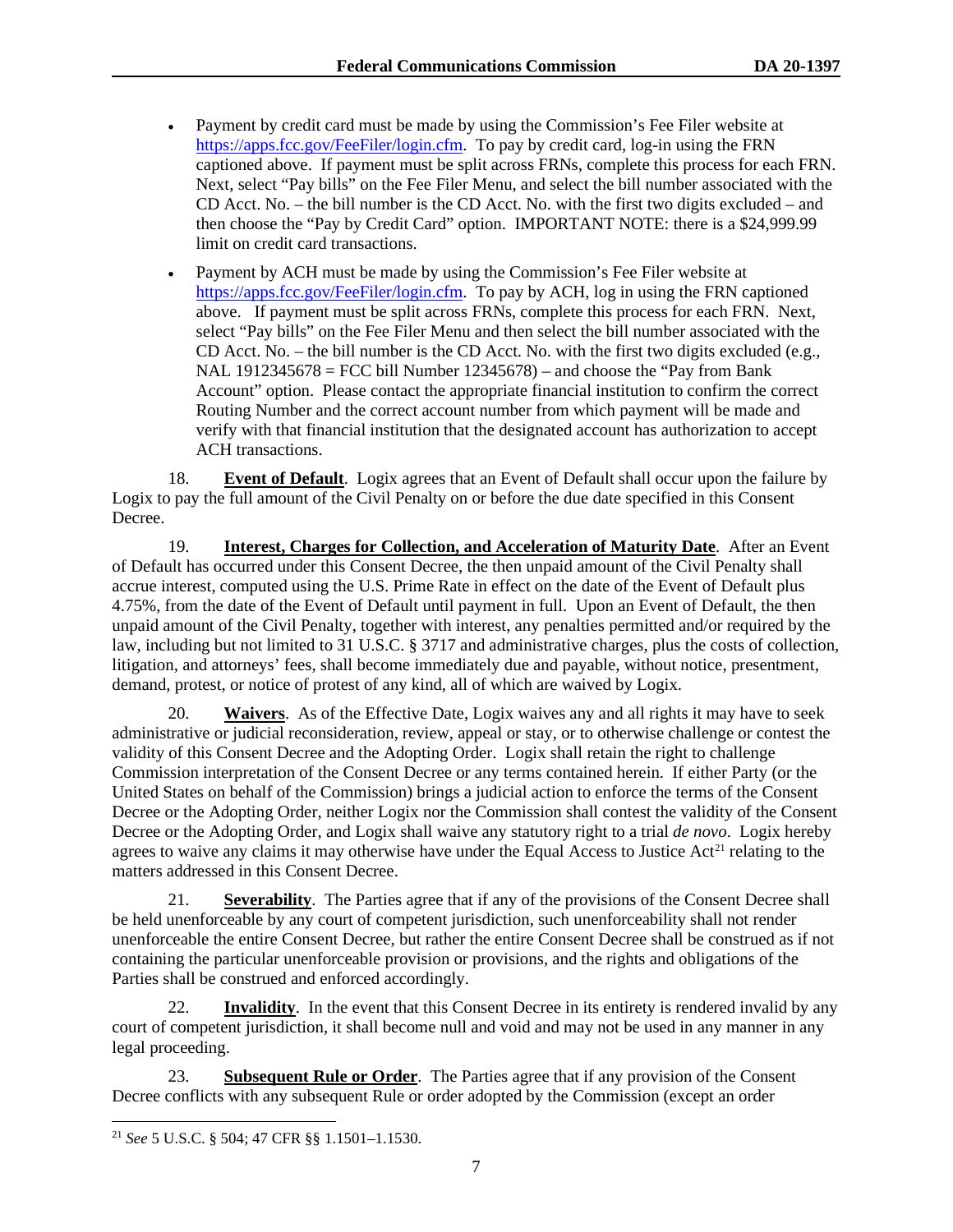- Payment by credit card must be made by using the Commission's Fee Filer website at [https://apps.fcc.gov/FeeFiler/login.cfm.](https://apps.fcc.gov/FeeFiler/login.cfm) To pay by credit card, log-in using the FRN captioned above. If payment must be split across FRNs, complete this process for each FRN. Next, select "Pay bills" on the Fee Filer Menu, and select the bill number associated with the CD Acct. No. – the bill number is the CD Acct. No. with the first two digits excluded – and then choose the "Pay by Credit Card" option. IMPORTANT NOTE: there is a \$24,999.99 limit on credit card transactions.
- Payment by ACH must be made by using the Commission's Fee Filer website at [https://apps.fcc.gov/FeeFiler/login.cfm.](https://apps.fcc.gov/FeeFiler/login.cfm) To pay by ACH, log in using the FRN captioned above. If payment must be split across FRNs, complete this process for each FRN. Next, select "Pay bills" on the Fee Filer Menu and then select the bill number associated with the CD Acct. No. – the bill number is the CD Acct. No. with the first two digits excluded (e.g., NAL  $1912345678 = FCC$  bill Number  $12345678$ ) – and choose the "Pay from Bank" Account" option. Please contact the appropriate financial institution to confirm the correct Routing Number and the correct account number from which payment will be made and verify with that financial institution that the designated account has authorization to accept ACH transactions.

18. **Event of Default**. Logix agrees that an Event of Default shall occur upon the failure by Logix to pay the full amount of the Civil Penalty on or before the due date specified in this Consent Decree.

19. **Interest, Charges for Collection, and Acceleration of Maturity Date**. After an Event of Default has occurred under this Consent Decree, the then unpaid amount of the Civil Penalty shall accrue interest, computed using the U.S. Prime Rate in effect on the date of the Event of Default plus 4.75%, from the date of the Event of Default until payment in full. Upon an Event of Default, the then unpaid amount of the Civil Penalty, together with interest, any penalties permitted and/or required by the law, including but not limited to 31 U.S.C. § 3717 and administrative charges, plus the costs of collection, litigation, and attorneys' fees, shall become immediately due and payable, without notice, presentment, demand, protest, or notice of protest of any kind, all of which are waived by Logix.

20. **Waivers**. As of the Effective Date, Logix waives any and all rights it may have to seek administrative or judicial reconsideration, review, appeal or stay, or to otherwise challenge or contest the validity of this Consent Decree and the Adopting Order. Logix shall retain the right to challenge Commission interpretation of the Consent Decree or any terms contained herein. If either Party (or the United States on behalf of the Commission) brings a judicial action to enforce the terms of the Consent Decree or the Adopting Order, neither Logix nor the Commission shall contest the validity of the Consent Decree or the Adopting Order, and Logix shall waive any statutory right to a trial *de novo*. Logix hereby agrees to waive any claims it may otherwise have under the Equal Access to Justice  $Act<sup>21</sup>$  $Act<sup>21</sup>$  $Act<sup>21</sup>$  relating to the matters addressed in this Consent Decree.

21. **Severability**. The Parties agree that if any of the provisions of the Consent Decree shall be held unenforceable by any court of competent jurisdiction, such unenforceability shall not render unenforceable the entire Consent Decree, but rather the entire Consent Decree shall be construed as if not containing the particular unenforceable provision or provisions, and the rights and obligations of the Parties shall be construed and enforced accordingly.

22. **Invalidity**. In the event that this Consent Decree in its entirety is rendered invalid by any court of competent jurisdiction, it shall become null and void and may not be used in any manner in any legal proceeding.

23. **Subsequent Rule or Order**. The Parties agree that if any provision of the Consent Decree conflicts with any subsequent Rule or order adopted by the Commission (except an order

<span id="page-8-0"></span><sup>21</sup> *See* 5 U.S.C. § 504; 47 CFR §§ 1.1501–1.1530.